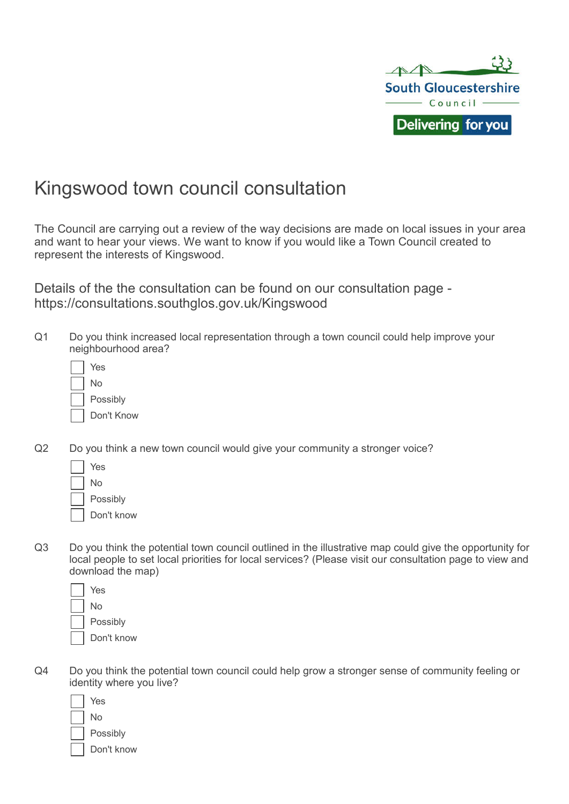

# Kingswood town council consultation

The Council are carrying out a review of the way decisions are made on local issues in your area and want to hear your views. We want to know if you would like a Town Council created to represent the interests of Kingswood.

Details of the the consultation can be found on our consultation page https://consultations.southglos.gov.uk/Kingswood

Q1 Do you think increased local representation through a town council could help improve your neighbourhood area?

| Yes        |
|------------|
| No         |
| Possibly   |
| Don't Know |

Q2 Do you think a new town council would give your community a stronger voice?

| Yes       |
|-----------|
| No        |
| Possibly  |
| Don't kno |

know

Q3 Do you think the potential town council outlined in the illustrative map could give the opportunity for local people to set local priorities for local services? (Please visit our consultation page to view and download the map)

| Yes        |
|------------|
| No         |
| Possibly   |
| Don't know |

Q4 Do you think the potential town council could help grow a stronger sense of community feeling or identity where you live?

| Yes        |
|------------|
| N٥         |
| Possibly   |
| Don't know |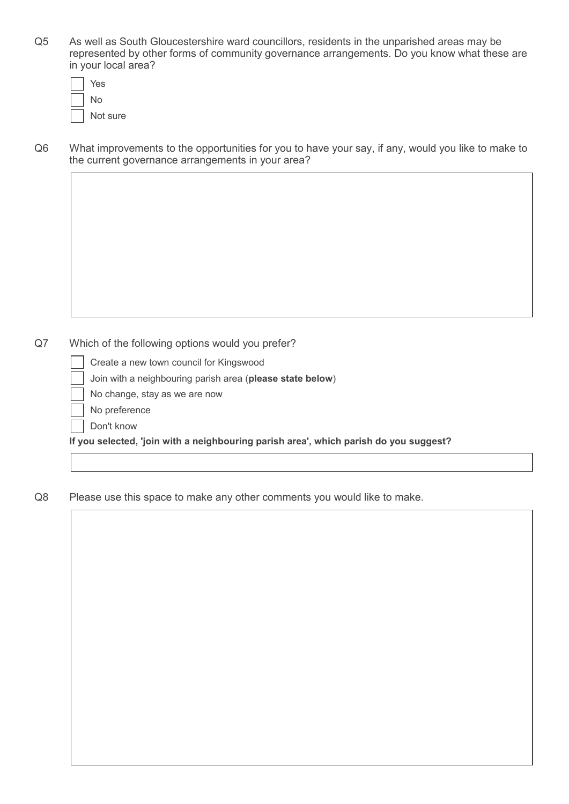Q5 As well as South Gloucestershire ward councillors, residents in the unparished areas may be represented by other forms of community governance arrangements. Do you know what these are in your local area?

| Yes      |
|----------|
| N٥       |
| Not sure |

Q6 What improvements to the opportunities for you to have your say, if any, would you like to make to the current governance arrangements in your area?

#### Q7 Which of the following options would you prefer?

- Create a new town council for Kingswood
- Join with a neighbouring parish area (**please state below**)
- No change, stay as we are now
- No preference
- Don't know

**If you selected, 'join with a neighbouring parish area', which parish do you suggest?**

Q8 Please use this space to make any other comments you would like to make.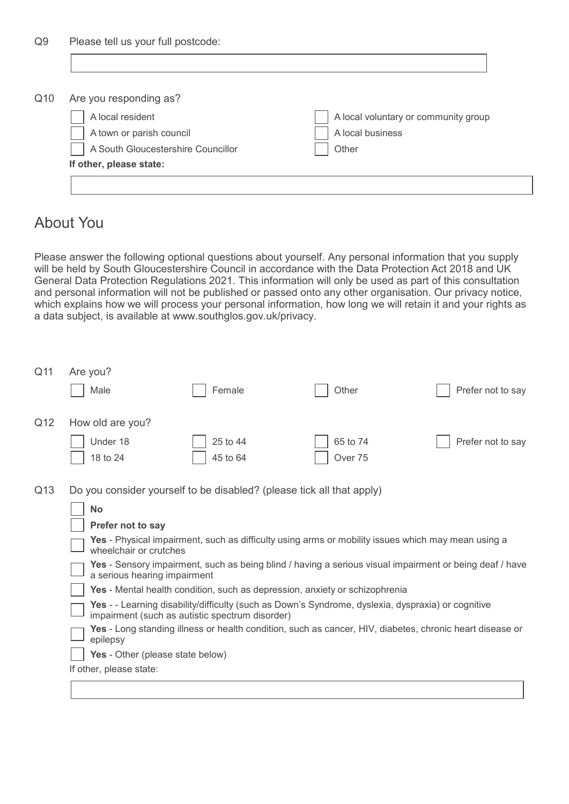| Q9  | Please tell us your full postcode: |                                      |  |  |
|-----|------------------------------------|--------------------------------------|--|--|
|     |                                    |                                      |  |  |
|     |                                    |                                      |  |  |
| Q10 | Are you responding as?             |                                      |  |  |
|     | A local resident                   | A local voluntary or community group |  |  |
|     | A town or parish council           | A local business                     |  |  |
|     | A South Gloucestershire Councillor | Other                                |  |  |
|     | If other, please state:            |                                      |  |  |
|     |                                    |                                      |  |  |

## About You

Please answer the following optional questions about yourself. Any personal information that you supply will be held by South Gloucestershire Council in accordance with the Data Protection Act 2018 and UK General Data Protection Regulations 2021. This information will only be used as part of this consultation and personal information will not be published or passed onto any other organisation. Our privacy notice, which explains how we will process your personal information, how long we will retain it and your rights as a data subject, is available at www.southglos.gov.uk/privacy.

| Q11 | Are you?<br>Male                                                                                                                                                                                                                                                                                                                                                                                                                                                                                                                                                                                                                                                                                                                                                                                                  | Female               | Other               | Prefer not to say |
|-----|-------------------------------------------------------------------------------------------------------------------------------------------------------------------------------------------------------------------------------------------------------------------------------------------------------------------------------------------------------------------------------------------------------------------------------------------------------------------------------------------------------------------------------------------------------------------------------------------------------------------------------------------------------------------------------------------------------------------------------------------------------------------------------------------------------------------|----------------------|---------------------|-------------------|
| Q12 | How old are you?<br>Under 18<br>18 to 24                                                                                                                                                                                                                                                                                                                                                                                                                                                                                                                                                                                                                                                                                                                                                                          | 25 to 44<br>45 to 64 | 65 to 74<br>Over 75 | Prefer not to say |
| Q13 | Do you consider yourself to be disabled? (please tick all that apply)<br><b>No</b><br>Prefer not to say<br>Yes - Physical impairment, such as difficulty using arms or mobility issues which may mean using a<br>wheelchair or crutches<br>Yes - Sensory impairment, such as being blind / having a serious visual impairment or being deaf / have<br>a serious hearing impairment<br>Yes - Mental health condition, such as depression, anxiety or schizophrenia<br>Yes - - Learning disability/difficulty (such as Down's Syndrome, dyslexia, dyspraxia) or cognitive<br>impairment (such as autistic spectrum disorder)<br>Yes - Long standing illness or health condition, such as cancer, HIV, diabetes, chronic heart disease or<br>epilepsy<br>Yes - Other (please state below)<br>If other, please state: |                      |                     |                   |